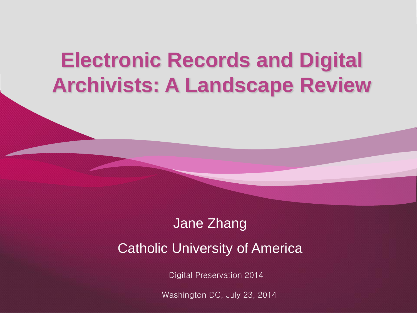#### **Electronic Records and Digital Archivists: A Landscape Review**

#### Jane Zhang Catholic University of America

Digital Preservation 2014

Washington DC, July 23, 2014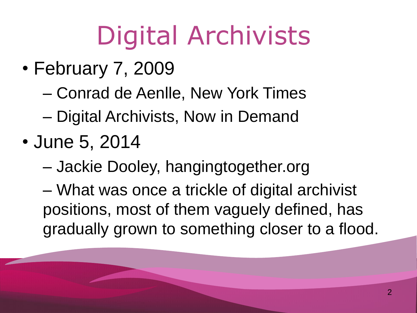## Digital Archivists

- February 7, 2009
	- Conrad de Aenlle, New York Times
	- Digital Archivists, Now in Demand
- June 5, 2014
	- Jackie Dooley, hangingtogether.org

– What was once a trickle of digital archivist positions, most of them vaguely defined, has gradually grown to something closer to a flood.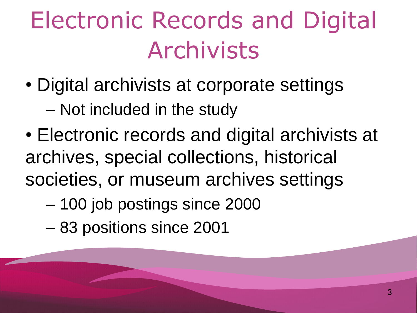#### Electronic Records and Digital Archivists

• Digital archivists at corporate settings

– Not included in the study

- Electronic records and digital archivists at archives, special collections, historical societies, or museum archives settings
	- ‒ 100 job postings since 2000
	- ‒ 83 positions since 2001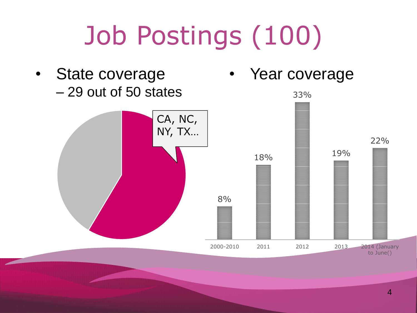## Job Postings (100)

State coverage ‒ 29 out of 50 states

Year coverage

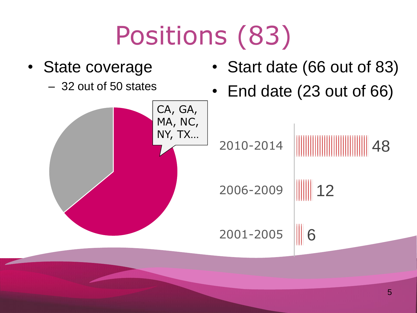### Positions (83)

• State coverage – 32 out of 50 states • Start date (66 out of 83) • End date (23 out of 66) CA, GA, MA, NC, NY, TX… 6  $|12$ 48 2001-2005 2006-2009 2010-2014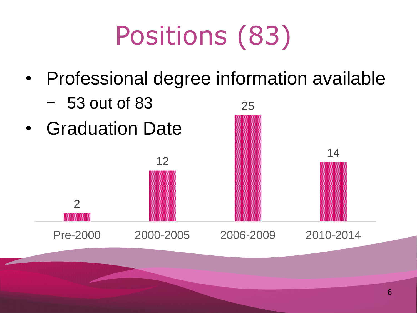#### Positions (83)

• Professional degree information available

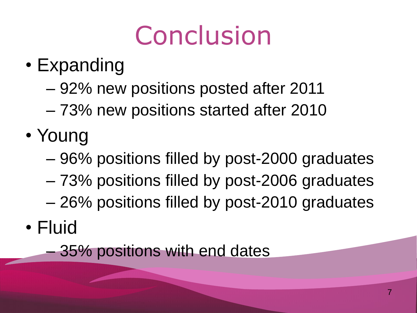#### **Conclusion**

- Expanding
	- ‒ 92% new positions posted after 2011
	- ‒ 73% new positions started after 2010
- Young
	- ‒ 96% positions filled by post-2000 graduates
	- ‒ 73% positions filled by post-2006 graduates ‒ 26% positions filled by post-2010 graduates
- Fluid

‒ 35% positions with end dates